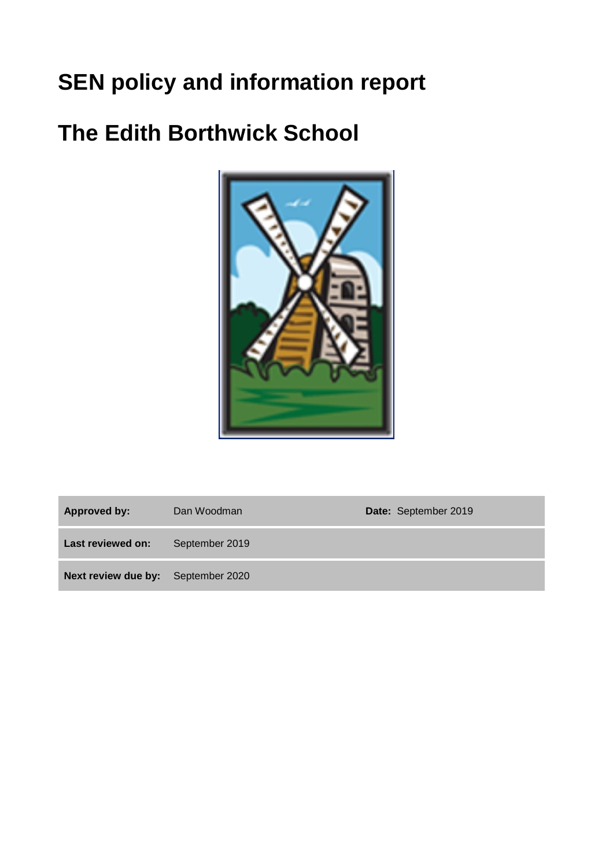# **SEN policy and information report**

# **The Edith Borthwick School**



Approved by: Dan Woodman **Date:** September 2019

**Last reviewed on:** September 2019

**Next review due by:** September 2020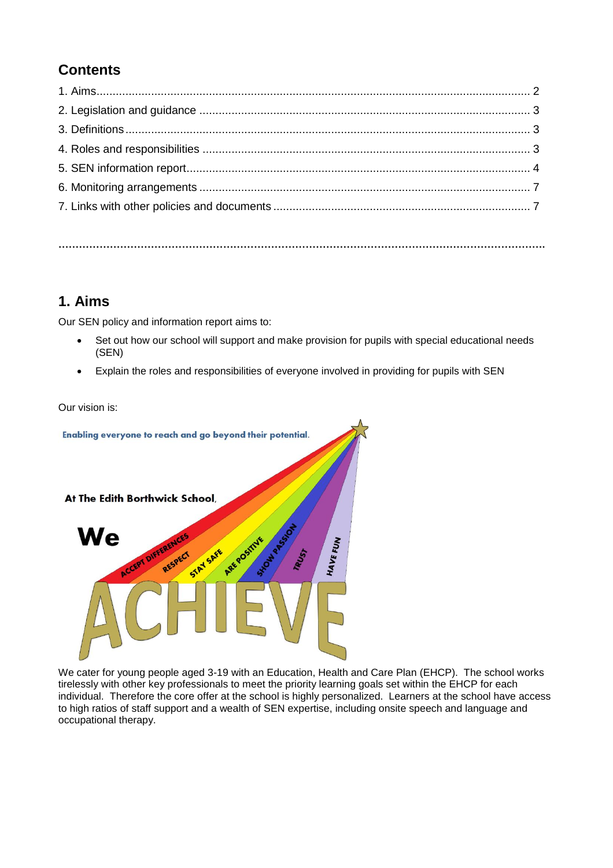# **Contents**

**…………………………………………………………………………………………………………………………….**

# **1. Aims**

Our SEN policy and information report aims to:

- Set out how our school will support and make provision for pupils with special educational needs (SEN)
- Explain the roles and responsibilities of everyone involved in providing for pupils with SEN

Our vision is:



We cater for young people aged 3-19 with an Education, Health and Care Plan (EHCP). The school works tirelessly with other key professionals to meet the priority learning goals set within the EHCP for each individual. Therefore the core offer at the school is highly personalized. Learners at the school have access to high ratios of staff support and a wealth of SEN expertise, including onsite speech and language and occupational therapy.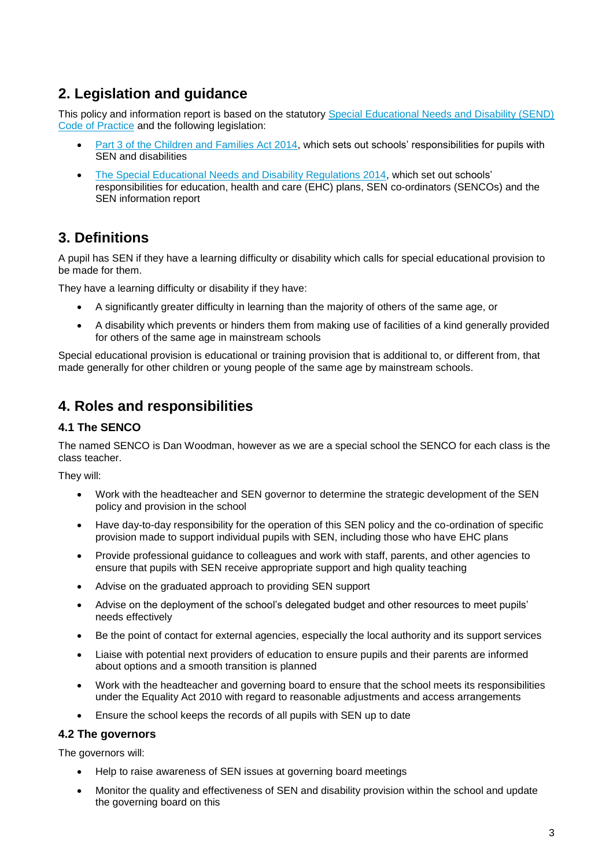# **2. Legislation and guidance**

This policy and information report is based on the statutory Special Educational Needs and Disability (SEND) [Code of Practice](https://www.gov.uk/government/uploads/system/uploads/attachment_data/file/398815/SEND_Code_of_Practice_January_2015.pdf) and the following legislation:

- [Part 3 of the Children and Families Act 2014,](http://www.legislation.gov.uk/ukpga/2014/6/part/3) which sets out schools' responsibilities for pupils with SEN and disabilities
- [The Special Educational Needs and Disability Regulations 2014,](http://www.legislation.gov.uk/uksi/2014/1530/contents/made) which set out schools' responsibilities for education, health and care (EHC) plans, SEN co-ordinators (SENCOs) and the SEN information report

# **3. Definitions**

A pupil has SEN if they have a learning difficulty or disability which calls for special educational provision to be made for them.

They have a learning difficulty or disability if they have:

- A significantly greater difficulty in learning than the majority of others of the same age, or
- A disability which prevents or hinders them from making use of facilities of a kind generally provided for others of the same age in mainstream schools

Special educational provision is educational or training provision that is additional to, or different from, that made generally for other children or young people of the same age by mainstream schools.

# **4. Roles and responsibilities**

## **4.1 The SENCO**

The named SENCO is Dan Woodman, however as we are a special school the SENCO for each class is the class teacher.

They will:

- Work with the headteacher and SEN governor to determine the strategic development of the SEN policy and provision in the school
- Have day-to-day responsibility for the operation of this SEN policy and the co-ordination of specific provision made to support individual pupils with SEN, including those who have EHC plans
- Provide professional guidance to colleagues and work with staff, parents, and other agencies to ensure that pupils with SEN receive appropriate support and high quality teaching
- Advise on the graduated approach to providing SEN support
- Advise on the deployment of the school's delegated budget and other resources to meet pupils' needs effectively
- Be the point of contact for external agencies, especially the local authority and its support services
- Liaise with potential next providers of education to ensure pupils and their parents are informed about options and a smooth transition is planned
- Work with the headteacher and governing board to ensure that the school meets its responsibilities under the Equality Act 2010 with regard to reasonable adjustments and access arrangements
- Ensure the school keeps the records of all pupils with SEN up to date

#### **4.2 The governors**

The governors will:

- Help to raise awareness of SEN issues at governing board meetings
- Monitor the quality and effectiveness of SEN and disability provision within the school and update the governing board on this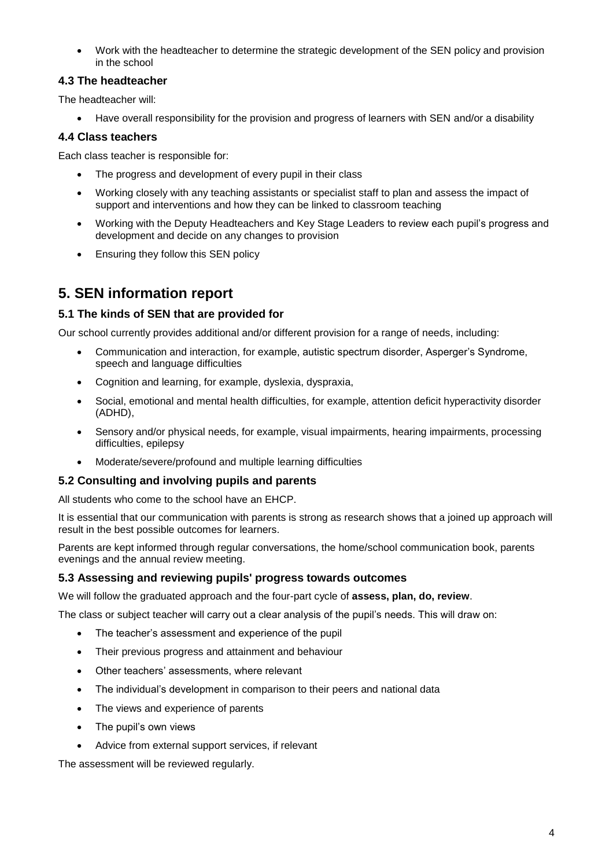Work with the headteacher to determine the strategic development of the SEN policy and provision in the school

### **4.3 The headteacher**

The headteacher will:

Have overall responsibility for the provision and progress of learners with SEN and/or a disability

### **4.4 Class teachers**

Each class teacher is responsible for:

- The progress and development of every pupil in their class
- Working closely with any teaching assistants or specialist staff to plan and assess the impact of support and interventions and how they can be linked to classroom teaching
- Working with the Deputy Headteachers and Key Stage Leaders to review each pupil's progress and development and decide on any changes to provision
- Ensuring they follow this SEN policy

# **5. SEN information report**

### **5.1 The kinds of SEN that are provided for**

Our school currently provides additional and/or different provision for a range of needs, including:

- Communication and interaction, for example, autistic spectrum disorder, Asperger's Syndrome, speech and language difficulties
- Cognition and learning, for example, dyslexia, dyspraxia,
- Social, emotional and mental health difficulties, for example, attention deficit hyperactivity disorder (ADHD),
- Sensory and/or physical needs, for example, visual impairments, hearing impairments, processing difficulties, epilepsy
- Moderate/severe/profound and multiple learning difficulties

### **5.2 Consulting and involving pupils and parents**

All students who come to the school have an EHCP.

It is essential that our communication with parents is strong as research shows that a joined up approach will result in the best possible outcomes for learners.

Parents are kept informed through regular conversations, the home/school communication book, parents evenings and the annual review meeting.

### **5.3 Assessing and reviewing pupils' progress towards outcomes**

We will follow the graduated approach and the four-part cycle of **assess, plan, do, review**.

The class or subject teacher will carry out a clear analysis of the pupil's needs. This will draw on:

- The teacher's assessment and experience of the pupil
- Their previous progress and attainment and behaviour
- Other teachers' assessments, where relevant
- The individual's development in comparison to their peers and national data
- The views and experience of parents
- The pupil's own views
- Advice from external support services, if relevant

The assessment will be reviewed regularly.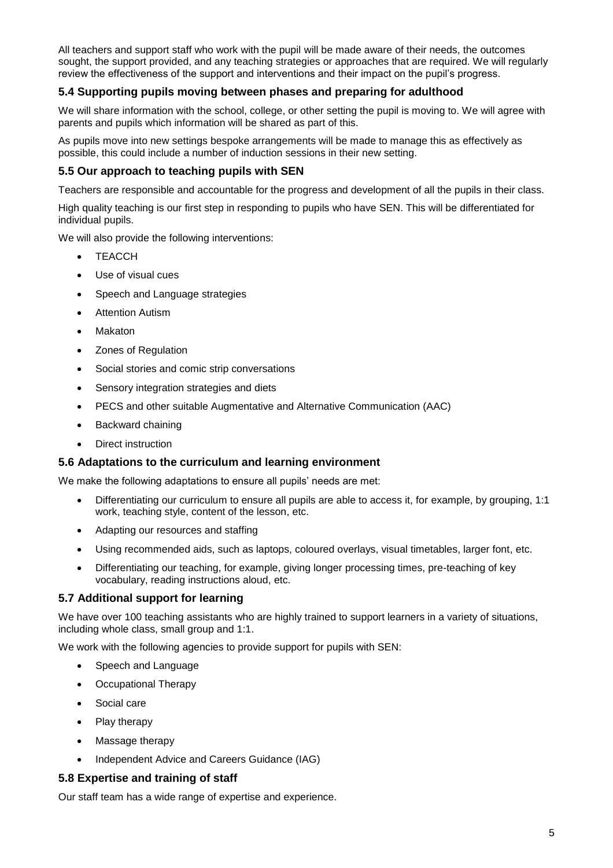All teachers and support staff who work with the pupil will be made aware of their needs, the outcomes sought, the support provided, and any teaching strategies or approaches that are required. We will regularly review the effectiveness of the support and interventions and their impact on the pupil's progress.

### **5.4 Supporting pupils moving between phases and preparing for adulthood**

We will share information with the school, college, or other setting the pupil is moving to. We will agree with parents and pupils which information will be shared as part of this.

As pupils move into new settings bespoke arrangements will be made to manage this as effectively as possible, this could include a number of induction sessions in their new setting.

#### **5.5 Our approach to teaching pupils with SEN**

Teachers are responsible and accountable for the progress and development of all the pupils in their class.

High quality teaching is our first step in responding to pupils who have SEN. This will be differentiated for individual pupils.

We will also provide the following interventions:

- TFACCH
- Use of visual cues
- Speech and Language strategies
- Attention Autism
- Makaton
- Zones of Regulation
- Social stories and comic strip conversations
- Sensory integration strategies and diets
- PECS and other suitable Augmentative and Alternative Communication (AAC)
- Backward chaining
- Direct instruction

#### **5.6 Adaptations to the curriculum and learning environment**

We make the following adaptations to ensure all pupils' needs are met:

- Differentiating our curriculum to ensure all pupils are able to access it, for example, by grouping, 1:1 work, teaching style, content of the lesson, etc.
- Adapting our resources and staffing
- Using recommended aids, such as laptops, coloured overlays, visual timetables, larger font, etc.
- Differentiating our teaching, for example, giving longer processing times, pre-teaching of key vocabulary, reading instructions aloud, etc.

#### **5.7 Additional support for learning**

We have over 100 teaching assistants who are highly trained to support learners in a variety of situations, including whole class, small group and 1:1.

We work with the following agencies to provide support for pupils with SEN:

- Speech and Language
- Occupational Therapy
- Social care
- Play therapy
- Massage therapy
- Independent Advice and Careers Guidance (IAG)

#### **5.8 Expertise and training of staff**

Our staff team has a wide range of expertise and experience.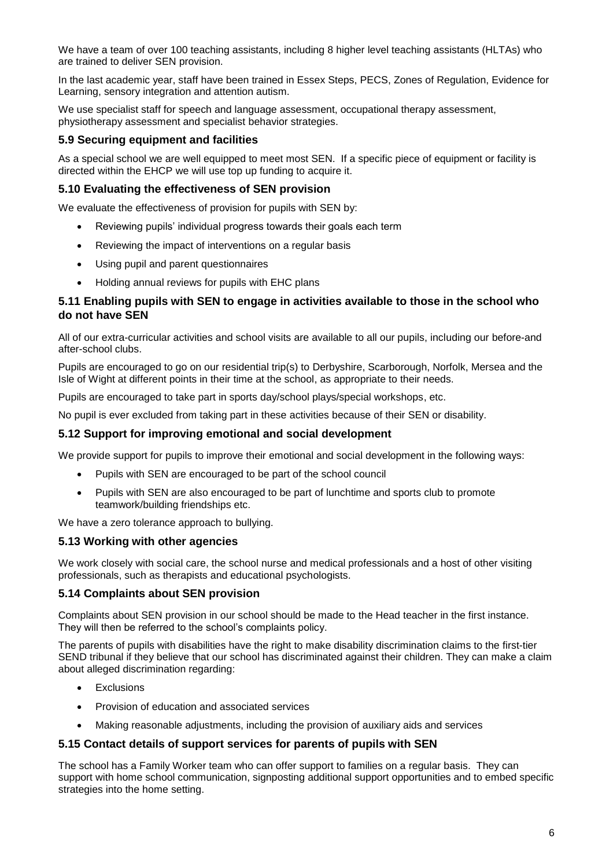We have a team of over 100 teaching assistants, including 8 higher level teaching assistants (HLTAs) who are trained to deliver SEN provision.

In the last academic year, staff have been trained in Essex Steps, PECS, Zones of Regulation, Evidence for Learning, sensory integration and attention autism.

We use specialist staff for speech and language assessment, occupational therapy assessment, physiotherapy assessment and specialist behavior strategies.

#### **5.9 Securing equipment and facilities**

As a special school we are well equipped to meet most SEN. If a specific piece of equipment or facility is directed within the EHCP we will use top up funding to acquire it.

#### **5.10 Evaluating the effectiveness of SEN provision**

We evaluate the effectiveness of provision for pupils with SEN by:

- Reviewing pupils' individual progress towards their goals each term
- Reviewing the impact of interventions on a regular basis
- Using pupil and parent questionnaires
- Holding annual reviews for pupils with EHC plans

#### **5.11 Enabling pupils with SEN to engage in activities available to those in the school who do not have SEN**

All of our extra-curricular activities and school visits are available to all our pupils, including our before-and after-school clubs.

Pupils are encouraged to go on our residential trip(s) to Derbyshire, Scarborough, Norfolk, Mersea and the Isle of Wight at different points in their time at the school, as appropriate to their needs.

Pupils are encouraged to take part in sports day/school plays/special workshops, etc.

No pupil is ever excluded from taking part in these activities because of their SEN or disability.

#### **5.12 Support for improving emotional and social development**

We provide support for pupils to improve their emotional and social development in the following ways:

- Pupils with SEN are encouraged to be part of the school council
- Pupils with SEN are also encouraged to be part of lunchtime and sports club to promote teamwork/building friendships etc.

We have a zero tolerance approach to bullying.

#### **5.13 Working with other agencies**

We work closely with social care, the school nurse and medical professionals and a host of other visiting professionals, such as therapists and educational psychologists.

#### **5.14 Complaints about SEN provision**

Complaints about SEN provision in our school should be made to the Head teacher in the first instance. They will then be referred to the school's complaints policy.

The parents of pupils with disabilities have the right to make disability discrimination claims to the first-tier SEND tribunal if they believe that our school has discriminated against their children. They can make a claim about alleged discrimination regarding:

- Exclusions
- Provision of education and associated services
- Making reasonable adjustments, including the provision of auxiliary aids and services

#### **5.15 Contact details of support services for parents of pupils with SEN**

The school has a Family Worker team who can offer support to families on a regular basis. They can support with home school communication, signposting additional support opportunities and to embed specific strategies into the home setting.